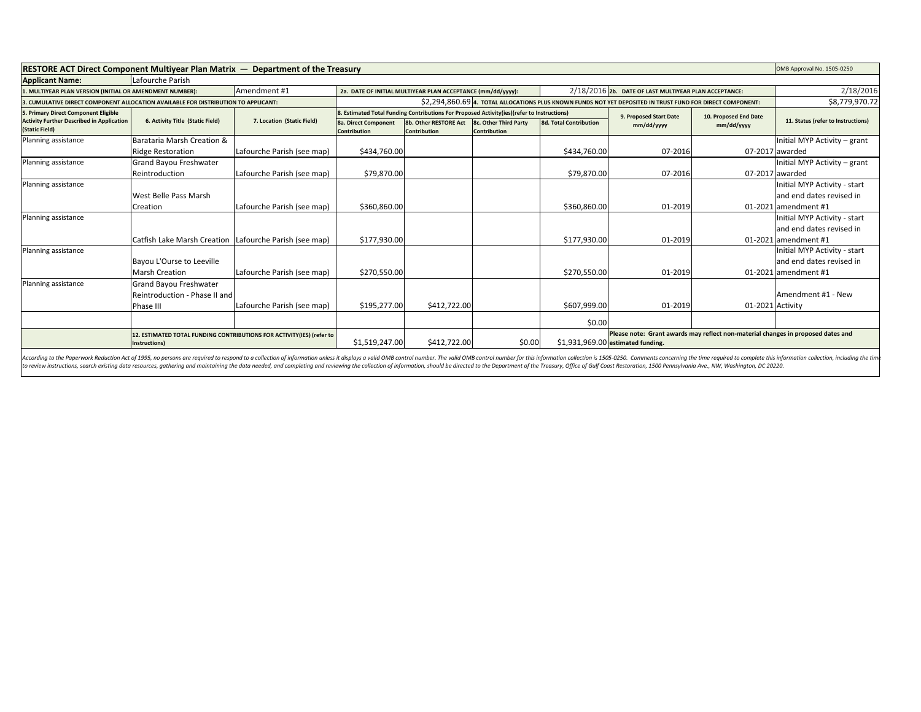| <b>RESTORE ACT Direct Component Multiyear Plan Matrix — Department of the Treasury</b> |                                  |                                                                                            |                                                                                                            |                                                             |                                              |                                                                                  | OMB Approval No. 1505-0250                            |            |                                    |
|----------------------------------------------------------------------------------------|----------------------------------|--------------------------------------------------------------------------------------------|------------------------------------------------------------------------------------------------------------|-------------------------------------------------------------|----------------------------------------------|----------------------------------------------------------------------------------|-------------------------------------------------------|------------|------------------------------------|
| <b>Applicant Name:</b>                                                                 | Lafourche Parish                 |                                                                                            |                                                                                                            |                                                             |                                              |                                                                                  |                                                       |            |                                    |
| 1. MULTIYEAR PLAN VERSION (INITIAL OR AMENDMENT NUMBER):                               |                                  | Amendment #1                                                                               |                                                                                                            | 2a. DATE OF INITIAL MULTIYEAR PLAN ACCEPTANCE (mm/dd/yyyy): |                                              |                                                                                  | 2/18/2016 2b. DATE OF LAST MULTIYEAR PLAN ACCEPTANCE: |            | 2/18/2016                          |
| 3. CUMULATIVE DIRECT COMPONENT ALLOCATION AVAILABLE FOR DISTRIBUTION TO APPLICANT:     |                                  |                                                                                            | \$2,294,860.69 4. TOTAL ALLOCATIONS PLUS KNOWN FUNDS NOT YET DEPOSITED IN TRUST FUND FOR DIRECT COMPONENT: |                                                             |                                              |                                                                                  |                                                       |            | \$8,779,970.72                     |
| 5. Primary Direct Component Eligible                                                   |                                  | 8. Estimated Total Funding Contributions For Proposed Activity(ies)(refer to Instructions) |                                                                                                            |                                                             |                                              | 9. Proposed Start Date                                                           | 10. Proposed End Date                                 |            |                                    |
| <b>Activity Further Described in Application</b><br>(Static Field)                     | 6. Activity Title (Static Field) | 7. Location (Static Field)                                                                 | <b>8a. Direct Component</b><br><b>Contribution</b>                                                         | 8b. Other RESTORE Act<br><b>Contribution</b>                | 8c. Other Third Party<br><b>Contribution</b> | <b>8d. Total Contribution</b>                                                    | mm/dd/yyyy                                            | mm/dd/yyyy | 11. Status (refer to Instructions) |
| Planning assistance                                                                    | Barataria Marsh Creation &       |                                                                                            |                                                                                                            |                                                             |                                              |                                                                                  |                                                       |            | Initial MYP Activity - grant       |
|                                                                                        | <b>Ridge Restoration</b>         | Lafourche Parish (see map)                                                                 | \$434,760.00                                                                                               |                                                             |                                              | \$434,760.00                                                                     | 07-2016                                               |            | 07-2017 awarded                    |
| Planning assistance                                                                    | Grand Bayou Freshwater           |                                                                                            |                                                                                                            |                                                             |                                              |                                                                                  |                                                       |            | Initial MYP Activity - grant       |
|                                                                                        | Reintroduction                   | Lafourche Parish (see map)                                                                 | \$79,870.00                                                                                                |                                                             |                                              | \$79,870.00                                                                      | 07-2016                                               |            | 07-2017 awarded                    |
| Planning assistance                                                                    |                                  |                                                                                            |                                                                                                            |                                                             |                                              |                                                                                  |                                                       |            | Initial MYP Activity - start       |
|                                                                                        | West Belle Pass Marsh            |                                                                                            |                                                                                                            |                                                             |                                              |                                                                                  |                                                       |            | and end dates revised in           |
|                                                                                        | Creation                         | Lafourche Parish (see map)                                                                 | \$360,860.00                                                                                               |                                                             |                                              | \$360,860.00                                                                     | 01-2019                                               |            | 01-2021 amendment #1               |
| Planning assistance                                                                    |                                  |                                                                                            |                                                                                                            |                                                             |                                              |                                                                                  |                                                       |            | Initial MYP Activity - start       |
|                                                                                        |                                  |                                                                                            |                                                                                                            |                                                             |                                              |                                                                                  |                                                       |            | and end dates revised in           |
|                                                                                        | Catfish Lake Marsh Creation      | Lafourche Parish (see map)                                                                 | \$177,930.00                                                                                               |                                                             |                                              | \$177.930.00                                                                     | 01-2019                                               |            | 01-2021 amendment #1               |
| Planning assistance                                                                    |                                  |                                                                                            |                                                                                                            |                                                             |                                              |                                                                                  |                                                       |            | Initial MYP Activity - start       |
|                                                                                        | Bayou L'Ourse to Leeville        |                                                                                            |                                                                                                            |                                                             |                                              |                                                                                  |                                                       |            | and end dates revised in           |
|                                                                                        | <b>Marsh Creation</b>            | Lafourche Parish (see map)                                                                 | \$270,550.00                                                                                               |                                                             |                                              | \$270,550.00                                                                     | 01-2019                                               |            | 01-2021 amendment #1               |
| Planning assistance                                                                    | <b>Grand Bayou Freshwater</b>    |                                                                                            |                                                                                                            |                                                             |                                              |                                                                                  |                                                       |            |                                    |
|                                                                                        | Reintroduction - Phase II and    |                                                                                            |                                                                                                            |                                                             |                                              |                                                                                  |                                                       |            | Amendment #1 - New                 |
|                                                                                        | Phase III                        | Lafourche Parish (see map)                                                                 | \$195,277.00                                                                                               | \$412,722.00                                                |                                              | \$607,999.00                                                                     | 01-2019                                               |            | 01-2021 Activity                   |
|                                                                                        |                                  |                                                                                            |                                                                                                            |                                                             |                                              | \$0.00                                                                           |                                                       |            |                                    |
| 12. ESTIMATED TOTAL FUNDING CONTRIBUTIONS FOR ACTIVITY(IES) (refer to                  |                                  |                                                                                            |                                                                                                            |                                                             |                                              | Please note: Grant awards may reflect non-material changes in proposed dates and |                                                       |            |                                    |
|                                                                                        | Instructions)                    |                                                                                            | \$1,519,247.00                                                                                             | \$412,722.00                                                | \$0.00                                       |                                                                                  | \$1,931,969.00 estimated funding.                     |            |                                    |
|                                                                                        |                                  |                                                                                            |                                                                                                            |                                                             |                                              |                                                                                  |                                                       |            |                                    |

According to the Paperwork Reduction Act of 1995, no persons are required to respond to a collection of information unless it displays a valid OMB control number. The valid OMB control number for this information collectio to review instructions, search existing data resources, gathering and maintaining the data needed, and completing and reviewing the collection of information, should be directed to the Department of the Treasury, Office of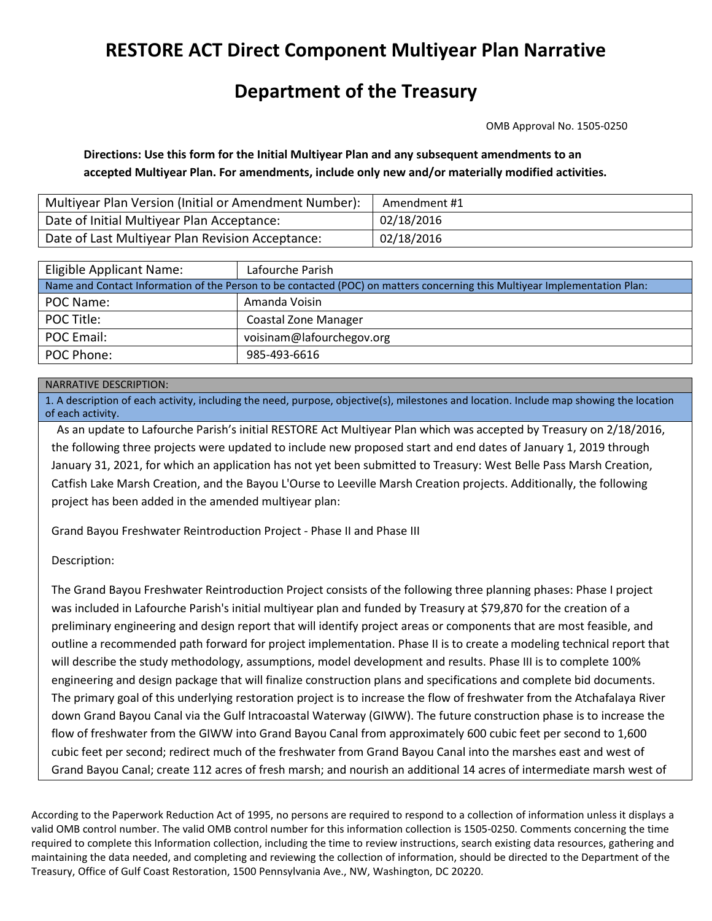# **RESTORE ACT Direct Component Multiyear Plan Narrative**

## **Department of the Treasury**

OMB Approval No. 1505‐0250

**Directions: Use this form for the Initial Multiyear Plan and any subsequent amendments to an accepted Multiyear Plan. For amendments, include only new and/or materially modified activities.**

| Multiyear Plan Version (Initial or Amendment Number): | Amendment #1 |
|-------------------------------------------------------|--------------|
| Date of Initial Multiyear Plan Acceptance:            | 02/18/2016   |
| Date of Last Multiyear Plan Revision Acceptance:      | 02/18/2016   |

| Eligible Applicant Name:                                                                                                   | Lafourche Parish            |  |  |  |  |
|----------------------------------------------------------------------------------------------------------------------------|-----------------------------|--|--|--|--|
| Name and Contact Information of the Person to be contacted (POC) on matters concerning this Multiyear Implementation Plan: |                             |  |  |  |  |
| POC Name:                                                                                                                  | Amanda Voisin               |  |  |  |  |
| POC Title:                                                                                                                 | <b>Coastal Zone Manager</b> |  |  |  |  |
| POC Email:                                                                                                                 | voisinam@lafourchegov.org   |  |  |  |  |
| POC Phone:                                                                                                                 | 985-493-6616                |  |  |  |  |

#### NARRATIVE DESCRIPTION:

1. A description of each activity, including the need, purpose, objective(s), milestones and location. Include map showing the location of each activity.

As an update to Lafourche Parish's initial RESTORE Act Multiyear Plan which was accepted by Treasury on 2/18/2016, the following three projects were updated to include new proposed start and end dates of January 1, 2019 through January 31, 2021, for which an application has not yet been submitted to Treasury: West Belle Pass Marsh Creation, Catfish Lake Marsh Creation, and the Bayou L'Ourse to Leeville Marsh Creation projects. Additionally, the following project has been added in the amended multiyear plan:

Grand Bayou Freshwater Reintroduction Project ‐ Phase II and Phase III

Description:

The Grand Bayou Freshwater Reintroduction Project consists of the following three planning phases: Phase I project was included in Lafourche Parish's initial multiyear plan and funded by Treasury at \$79,870 for the creation of a preliminary engineering and design report that will identify project areas or components that are most feasible, and outline a recommended path forward for project implementation. Phase II is to create a modeling technical report that will describe the study methodology, assumptions, model development and results. Phase III is to complete 100% engineering and design package that will finalize construction plans and specifications and complete bid documents. The primary goal of this underlying restoration project is to increase the flow of freshwater from the Atchafalaya River down Grand Bayou Canal via the Gulf Intracoastal Waterway (GIWW). The future construction phase is to increase the flow of freshwater from the GIWW into Grand Bayou Canal from approximately 600 cubic feet per second to 1,600 cubic feet per second; redirect much of the freshwater from Grand Bayou Canal into the marshes east and west of Grand Bayou Canal; create 112 acres of fresh marsh; and nourish an additional 14 acres of intermediate marsh west of

According to the Paperwork Reduction Act of 1995, no persons are required to respond to a collection of information unless it displays a valid OMB control number. The valid OMB control number for this information collection is 1505‐0250. Comments concerning the time required to complete this Information collection, including the time to review instructions, search existing data resources, gathering and maintaining the data needed, and completing and reviewing the collection of information, should be directed to the Department of the Treasury, Office of Gulf Coast Restoration, 1500 Pennsylvania Ave., NW, Washington, DC 20220.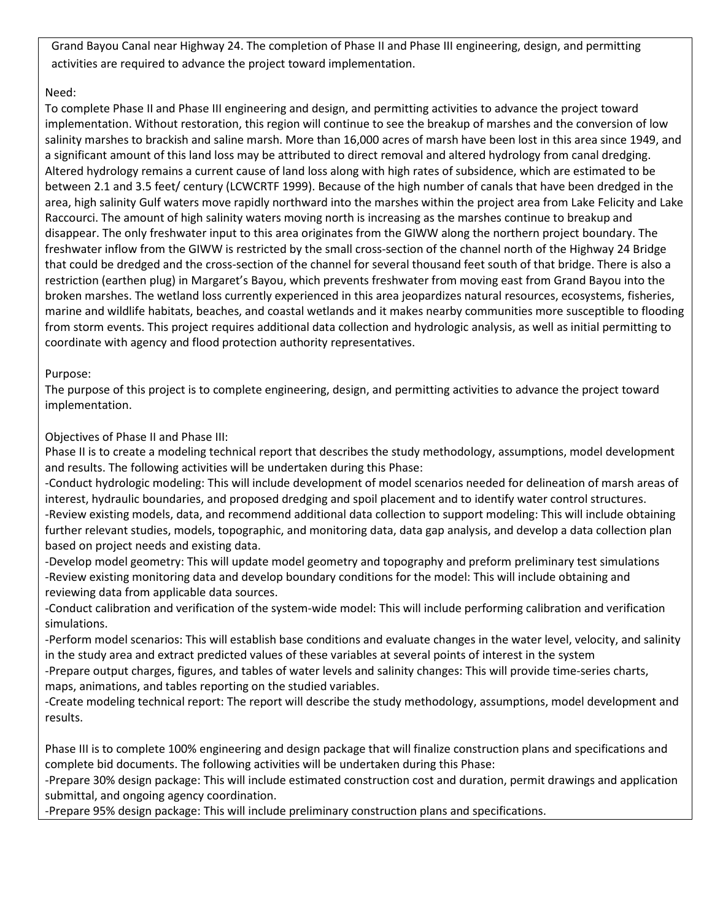Grand Bayou Canal near Highway 24. The completion of Phase II and Phase III engineering, design, and permitting activities are required to advance the project toward implementation.

### Need:

To complete Phase II and Phase III engineering and design, and permitting activities to advance the project toward implementation. Without restoration, this region will continue to see the breakup of marshes and the conversion of low salinity marshes to brackish and saline marsh. More than 16,000 acres of marsh have been lost in this area since 1949, and a significant amount of this land loss may be attributed to direct removal and altered hydrology from canal dredging. Altered hydrology remains a current cause of land loss along with high rates of subsidence, which are estimated to be between 2.1 and 3.5 feet/ century (LCWCRTF 1999). Because of the high number of canals that have been dredged in the area, high salinity Gulf waters move rapidly northward into the marshes within the project area from Lake Felicity and Lake Raccourci. The amount of high salinity waters moving north is increasing as the marshes continue to breakup and disappear. The only freshwater input to this area originates from the GIWW along the northern project boundary. The freshwater inflow from the GIWW is restricted by the small cross‐section of the channel north of the Highway 24 Bridge that could be dredged and the cross‐section of the channel for several thousand feet south of that bridge. There is also a restriction (earthen plug) in Margaret's Bayou, which prevents freshwater from moving east from Grand Bayou into the broken marshes. The wetland loss currently experienced in this area jeopardizes natural resources, ecosystems, fisheries, marine and wildlife habitats, beaches, and coastal wetlands and it makes nearby communities more susceptible to flooding from storm events. This project requires additional data collection and hydrologic analysis, as well as initial permitting to coordinate with agency and flood protection authority representatives.

#### Purpose:

The purpose of this project is to complete engineering, design, and permitting activities to advance the project toward implementation.

### Objectives of Phase II and Phase III:

Phase II is to create a modeling technical report that describes the study methodology, assumptions, model development and results. The following activities will be undertaken during this Phase:

‐Conduct hydrologic modeling: This will include development of model scenarios needed for delineation of marsh areas of interest, hydraulic boundaries, and proposed dredging and spoil placement and to identify water control structures. ‐Review existing models, data, and recommend additional data collection to support modeling: This will include obtaining further relevant studies, models, topographic, and monitoring data, data gap analysis, and develop a data collection plan based on project needs and existing data.

‐Develop model geometry: This will update model geometry and topography and preform preliminary test simulations ‐Review existing monitoring data and develop boundary conditions for the model: This will include obtaining and reviewing data from applicable data sources.

‐Conduct calibration and verification of the system‐wide model: This will include performing calibration and verification simulations.

‐Perform model scenarios: This will establish base conditions and evaluate changes in the water level, velocity, and salinity in the study area and extract predicted values of these variables at several points of interest in the system

‐Prepare output charges, figures, and tables of water levels and salinity changes: This will provide time‐series charts, maps, animations, and tables reporting on the studied variables.

‐Create modeling technical report: The report will describe the study methodology, assumptions, model development and results.

Phase III is to complete 100% engineering and design package that will finalize construction plans and specifications and complete bid documents. The following activities will be undertaken during this Phase:

‐Prepare 30% design package: This will include estimated construction cost and duration, permit drawings and application submittal, and ongoing agency coordination.

‐Prepare 95% design package: This will include preliminary construction plans and specifications.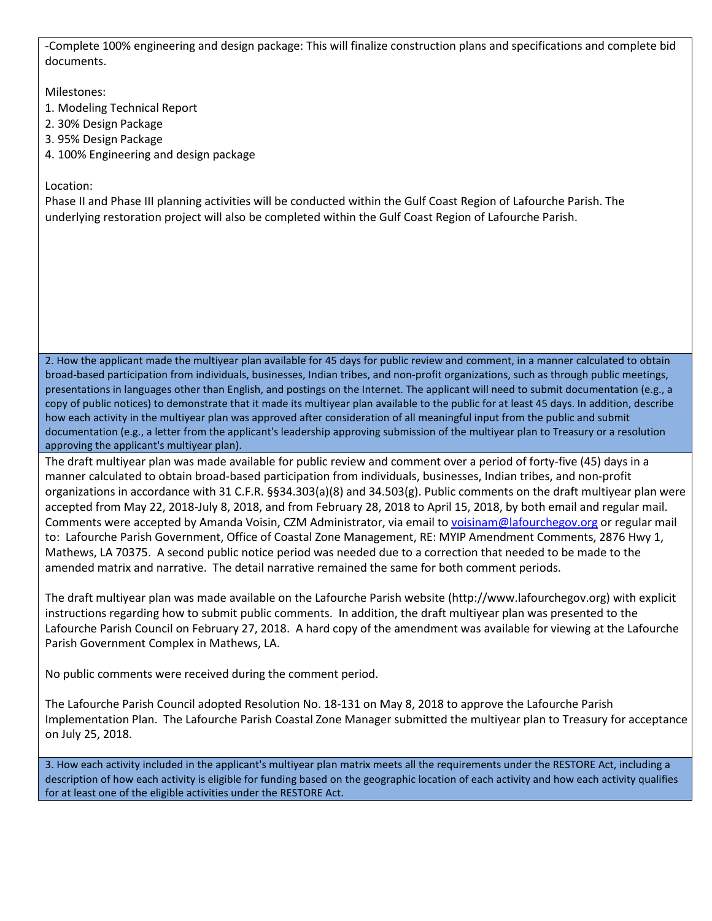‐Complete 100% engineering and design package: This will finalize construction plans and specifications and complete bid documents.

Milestones:

- 1. Modeling Technical Report
- 2. 30% Design Package
- 3. 95% Design Package
- 4. 100% Engineering and design package

Location:

Phase II and Phase III planning activities will be conducted within the Gulf Coast Region of Lafourche Parish. The underlying restoration project will also be completed within the Gulf Coast Region of Lafourche Parish.

2. How the applicant made the multiyear plan available for 45 days for public review and comment, in a manner calculated to obtain broad‐based participation from individuals, businesses, Indian tribes, and non‐profit organizations, such as through public meetings, presentations in languages other than English, and postings on the Internet. The applicant will need to submit documentation (e.g., a copy of public notices) to demonstrate that it made its multiyear plan available to the public for at least 45 days. In addition, describe how each activity in the multiyear plan was approved after consideration of all meaningful input from the public and submit documentation (e.g., a letter from the applicant's leadership approving submission of the multiyear plan to Treasury or a resolution approving the applicant's multiyear plan).

The draft multiyear plan was made available for public review and comment over a period of forty-five (45) days in a manner calculated to obtain broad-based participation from individuals, businesses, Indian tribes, and non-profit organizations in accordance with 31 C.F.R. §§34.303(a)(8) and 34.503(g). Public comments on the draft multiyear plan were accepted from May 22, 2018-July 8, 2018, and from February 28, 2018 to April 15, 2018, by both email and regular mail. Comments were accepted by Amanda Voisin, CZM Administrator, via email to [voisinam@lafourchegov.org](mailto:voisinam@lafourchegov.org) or regular mail to: Lafourche Parish Government, Office of Coastal Zone Management, RE: MYIP Amendment Comments, 2876 Hwy 1, Mathews, LA 70375. A second public notice period was needed due to a correction that needed to be made to the amended matrix and narrative. The detail narrative remained the same for both comment periods.

The draft multiyear plan was made available on the Lafourche Parish website (http://www.lafourchegov.org) with explicit instructions regarding how to submit public comments. In addition, the draft multiyear plan was presented to the Lafourche Parish Council on February 27, 2018. A hard copy of the amendment was available for viewing at the Lafourche Parish Government Complex in Mathews, LA.

No public comments were received during the comment period.

The Lafourche Parish Council adopted Resolution No. 18-131 on May 8, 2018 to approve the Lafourche Parish Implementation Plan. The Lafourche Parish Coastal Zone Manager submitted the multiyear plan to Treasury for acceptance on July 25, 2018.

3. How each activity included in the applicant's multiyear plan matrix meets all the requirements under the RESTORE Act, including a description of how each activity is eligible for funding based on the geographic location of each activity and how each activity qualifies for at least one of the eligible activities under the RESTORE Act.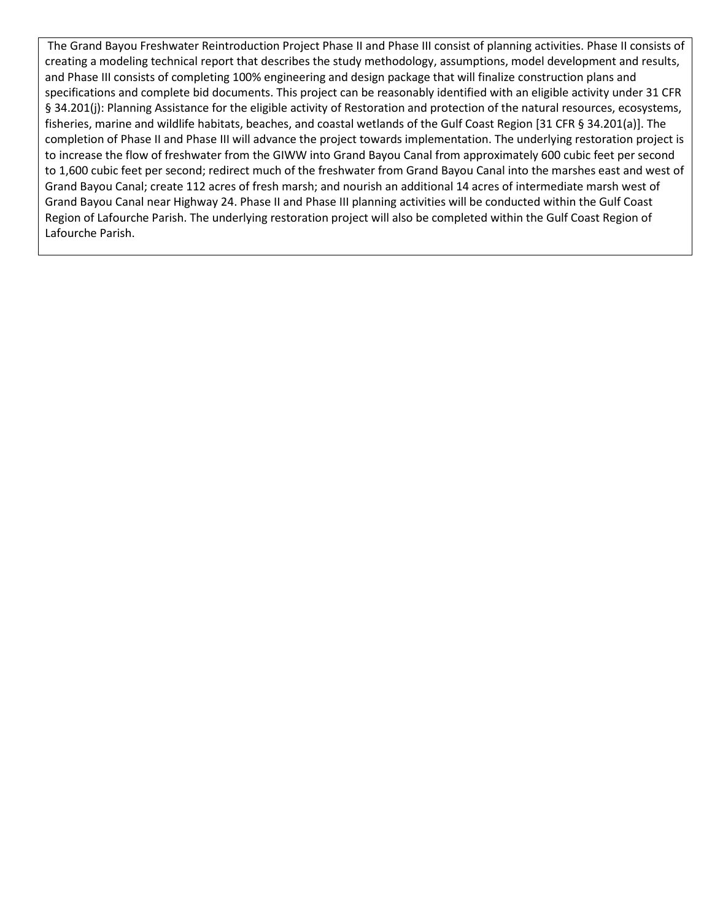The Grand Bayou Freshwater Reintroduction Project Phase II and Phase III consist of planning activities. Phase II consists of creating a modeling technical report that describes the study methodology, assumptions, model development and results, and Phase III consists of completing 100% engineering and design package that will finalize construction plans and specifications and complete bid documents. This project can be reasonably identified with an eligible activity under 31 CFR § 34.201(j): Planning Assistance for the eligible activity of Restoration and protection of the natural resources, ecosystems, fisheries, marine and wildlife habitats, beaches, and coastal wetlands of the Gulf Coast Region [31 CFR § 34.201(a)]. The completion of Phase II and Phase III will advance the project towards implementation. The underlying restoration project is to increase the flow of freshwater from the GIWW into Grand Bayou Canal from approximately 600 cubic feet per second to 1,600 cubic feet per second; redirect much of the freshwater from Grand Bayou Canal into the marshes east and west of Grand Bayou Canal; create 112 acres of fresh marsh; and nourish an additional 14 acres of intermediate marsh west of Grand Bayou Canal near Highway 24. Phase II and Phase III planning activities will be conducted within the Gulf Coast Region of Lafourche Parish. The underlying restoration project will also be completed within the Gulf Coast Region of Lafourche Parish.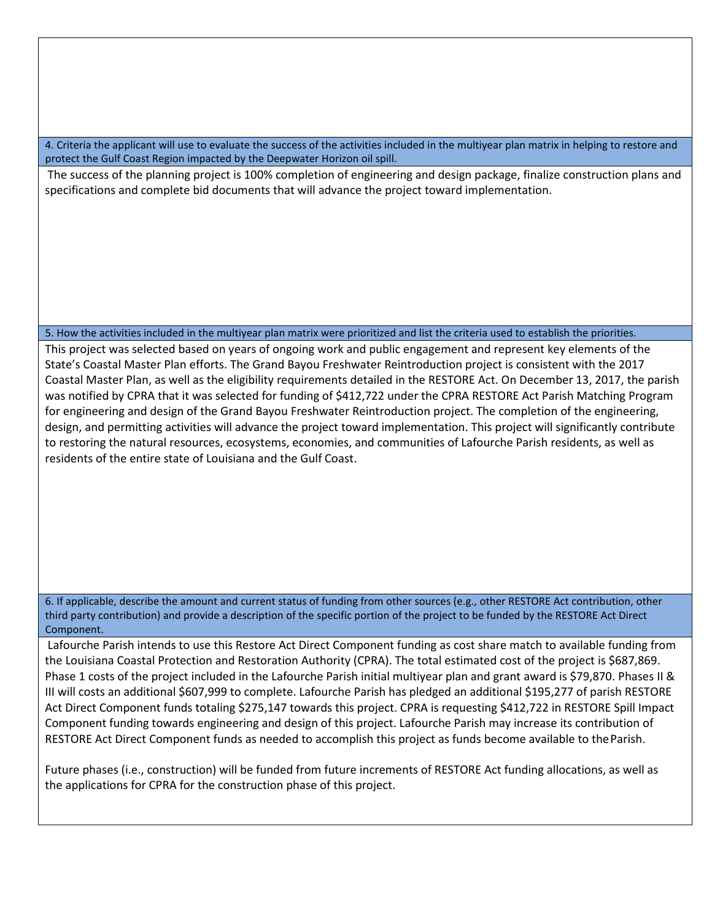4. Criteria the applicant will use to evaluate the success of the activities included in the multiyear plan matrix in helping to restore and protect the Gulf Coast Region impacted by the Deepwater Horizon oil spill.

The success of the planning project is 100% completion of engineering and design package, finalize construction plans and specifications and complete bid documents that will advance the project toward implementation.

#### 5. How the activities included in the multiyear plan matrix were prioritized and list the criteria used to establish the priorities.

This project was selected based on years of ongoing work and public engagement and represent key elements of the State's Coastal Master Plan efforts. The Grand Bayou Freshwater Reintroduction project is consistent with the 2017 Coastal Master Plan, as well as the eligibility requirements detailed in the RESTORE Act. On December 13, 2017, the parish was notified by CPRA that it was selected for funding of \$412,722 under the CPRA RESTORE Act Parish Matching Program for engineering and design of the Grand Bayou Freshwater Reintroduction project. The completion of the engineering, design, and permitting activities will advance the project toward implementation. This project will significantly contribute to restoring the natural resources, ecosystems, economies, and communities of Lafourche Parish residents, as well as residents of the entire state of Louisiana and the Gulf Coast.

6. If applicable, describe the amount and current status of funding from other sources (e.g., other RESTORE Act contribution, other third party contribution) and provide a description of the specific portion of the project to be funded by the RESTORE Act Direct Component.

Lafourche Parish intends to use this Restore Act Direct Component funding as cost share match to available funding from the Louisiana Coastal Protection and Restoration Authority (CPRA). The total estimated cost of the project is \$687,869. Phase 1 costs of the project included in the Lafourche Parish initial multiyear plan and grant award is \$79,870. Phases II & III will costs an additional \$607,999 to complete. Lafourche Parish has pledged an additional \$195,277 of parish RESTORE Act Direct Component funds totaling \$275,147 towards this project. CPRA is requesting \$412,722 in RESTORE Spill Impact Component funding towards engineering and design of this project. Lafourche Parish may increase its contribution of RESTORE Act Direct Component funds as needed to accomplish this project as funds become available to the Parish.

Future phases (i.e., construction) will be funded from future increments of RESTORE Act funding allocations, as well as the applications for CPRA for the construction phase of this project.